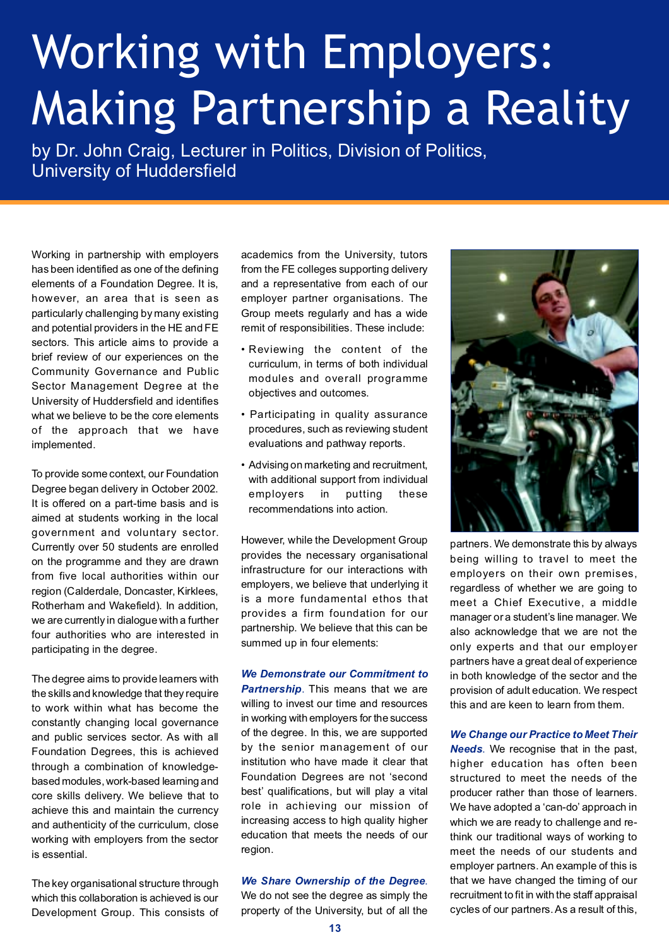## Working with Employers: Making Partnership a Reality

by Dr. John Craig, Lecturer in Politics, Division of Politics, University of Huddersfield

Working in partnership with employers has been identified as one of the defining elements of a Foundation Degree. It is, however, an area that is seen as particularly challenging by many existing and potential providers in the HE and FE sectors. This article aims to provide a brief review of our experiences on the Community Governance and Public Sector Management Degree at the University of Huddersfield and identifies what we believe to be the core elements of the approach that we have implemented.

To provide some context, our Foundation Degree began delivery in October 2002. It is offered on a part-time basis and is aimed at students working in the local government and voluntary sector. Currently over 50 students are enrolled on the programme and they are drawn from five local authorities within our region (Calderdale, Doncaster, Kirklees, Rotherham and Wakefield). In addition, we are currently in dialogue with a further four authorities who are interested in participating in the degree.

The degree aims to provide learners with the skills and knowledge that they require to work within what has become the constantly changing local governance and public services sector. As with all Foundation Degrees, this is achieved through a combination of knowledgebased modules, work-based learning and core skills delivery. We believe that to achieve this and maintain the currency and authenticity of the curriculum, close working with employers from the sector is essential.

The key organisational structure through which this collaboration is achieved is our Development Group. This consists of academics from the University, tutors from the FE colleges supporting delivery and a representative from each of our employer partner organisations. The Group meets regularly and has a wide remit of responsibilities. These include:

- Reviewing the content of the curriculum, in terms of both individual modules and overall programme objectives and outcomes.
- Participating in quality assurance procedures, such as reviewing student evaluations and pathway reports.
- Advising on marketing and recruitment, with additional support from individual employers in putting these recommendations into action.

However, while the Development Group provides the necessary organisational infrastructure for our interactions with employers, we believe that underlying it is a more fundamental ethos that provides a firm foundation for our partnership. We believe that this can be summed up in four elements:

*We Demonstrate our Commitment to Partnership*. This means that we are willing to invest our time and resources in working with employers for the success of the degree. In this, we are supported by the senior management of our institution who have made it clear that Foundation Degrees are not 'second best' qualifications, but will play a vital role in achieving our mission of increasing access to high quality higher education that meets the needs of our region.

## *We Share Ownership of the Degree*.

We do not see the degree as simply the property of the University, but of all the



partners. We demonstrate this by always being willing to travel to meet the employers on their own premises, regardless of whether we are going to meet a Chief Executive, a middle manager or a student's line manager. We also acknowledge that we are not the only experts and that our employer partners have a great deal of experience in both knowledge of the sector and the provision of adult education. We respect this and are keen to learn from them.

*We Change our Practice to Meet Their Needs*. We recognise that in the past, higher education has often been structured to meet the needs of the producer rather than those of learners. We have adopted a 'can-do' approach in which we are ready to challenge and rethink our traditional ways of working to meet the needs of our students and employer partners. An example of this is that we have changed the timing of our recruitment to fit in with the staff appraisal cycles of our partners. As a result of this,